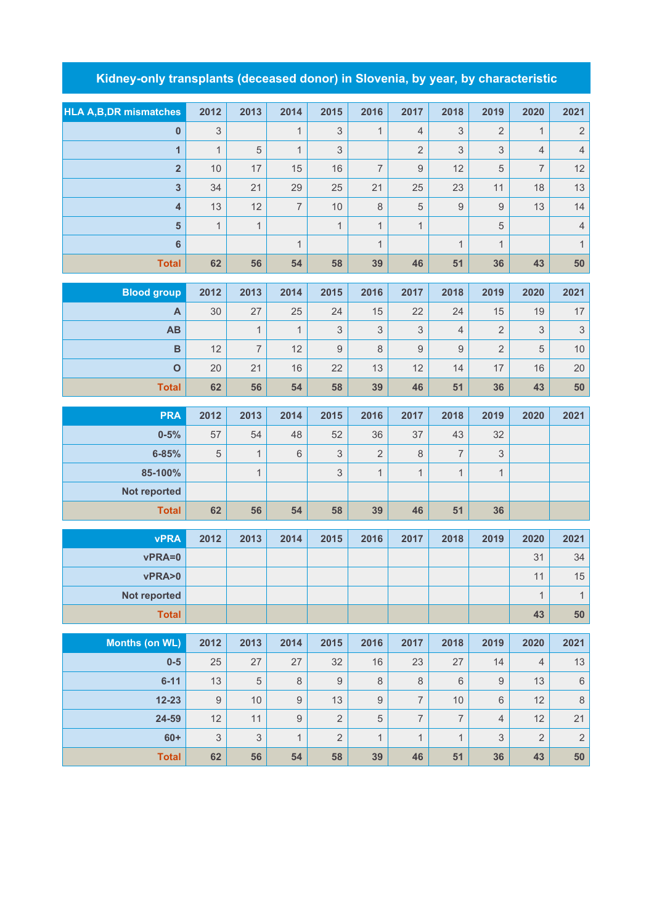## **Kidney-only transplants (deceased donor) in Slovenia, by year, by characteristic**

| <b>HLA A, B, DR mismatches</b> | 2012                      | 2013           | 2014           | 2015                      | 2016           | 2017           | 2018             | 2019           | 2020           | 2021                      |
|--------------------------------|---------------------------|----------------|----------------|---------------------------|----------------|----------------|------------------|----------------|----------------|---------------------------|
| 0                              | $\sqrt{3}$                |                | $\mathbf{1}$   | $\ensuremath{\mathsf{3}}$ | $\mathbf{1}$   | $\overline{4}$ | 3                | 2              | $\mathbf{1}$   | $\sqrt{2}$                |
| $\overline{1}$                 | $\mathbf{1}$              | 5              | $\mathbf{1}$   | $\mathfrak{S}$            |                | $\overline{2}$ | 3                | 3              | $\overline{4}$ | $\sqrt{4}$                |
| $\overline{\mathbf{2}}$        | 10                        | 17             | 15             | 16                        | $\overline{7}$ | $\mathsf 9$    | 12               | 5              | $\overline{7}$ | 12                        |
| 3                              | 34                        | 21             | 29             | 25                        | 21             | 25             | 23               | 11             | 18             | 13                        |
| $\overline{\mathbf{4}}$        | 13                        | 12             | $\overline{7}$ | 10                        | $\,8\,$        | 5              | $\boldsymbol{9}$ | $\hbox{9}$     | 13             | 14                        |
| $5\phantom{a}$                 | $\mathbf{1}$              | $\mathbf{1}$   |                | $\mathbf{1}$              | $\mathbf{1}$   | $\mathbf{1}$   |                  | 5              |                | $\sqrt{4}$                |
| $\bf 6$                        |                           |                | $\mathbf{1}$   |                           | $\mathbf{1}$   |                | $\mathbf{1}$     | $\mathbf{1}$   |                | $\mathbf{1}$              |
| <b>Total</b>                   | 62                        | 56             | 54             | 58                        | 39             | 46             | 51               | 36             | 43             | 50                        |
| <b>Blood group</b>             | 2012                      | 2013           | 2014           | 2015                      | 2016           | 2017           | 2018             | 2019           | 2020           | 2021                      |
| A                              | 30                        | 27             | 25             | 24                        | 15             | 22             | 24               | 15             | 19             | $17$                      |
| AB                             |                           | $\mathbf{1}$   | $\mathbf{1}$   | $\ensuremath{\mathsf{3}}$ | 3              | 3              | $\sqrt{4}$       | $\overline{2}$ | $\mathsf 3$    | $\ensuremath{\mathsf{3}}$ |
| $\, {\bf B}$                   | 12                        | $\overline{7}$ | 12             | $\mathsf 9$               | $\,8\,$        | 9              | $\boldsymbol{9}$ | $\overline{2}$ | 5              | $10$                      |
| $\mathbf{o}$                   | 20                        | 21             | 16             | 22                        | 13             | 12             | 14               | 17             | 16             | 20                        |
|                                |                           |                | 54             |                           |                |                |                  |                |                |                           |
| <b>Total</b>                   | 62                        | 56             |                | 58                        | 39             | 46             | 51               | 36             | 43             | ${\bf 50}$                |
| <b>PRA</b>                     | 2012                      | 2013           | 2014           | 2015                      | 2016           | 2017           | 2018             | 2019           | 2020           | 2021                      |
| $0 - 5%$                       | 57                        | 54             | 48             | 52                        | 36             | 37             | 43               | 32             |                |                           |
| $6 - 85%$                      | 5                         | $\mathbf{1}$   | $6\,$          | $\mathsf 3$               | $\overline{2}$ | 8              | $\overline{7}$   | 3              |                |                           |
| 85-100%                        |                           | $\mathbf{1}$   |                | $\mathsf 3$               | $\mathbf{1}$   | $\mathbf{1}$   | $\mathbf{1}$     | $\mathbf 1$    |                |                           |
| Not reported                   |                           |                |                |                           |                |                |                  |                |                |                           |
| <b>Total</b>                   | 62                        | 56             | 54             | 58                        | 39             | 46             | 51               | 36             |                |                           |
|                                |                           |                |                |                           |                |                |                  |                |                |                           |
| <b>vPRA</b>                    | 2012                      | 2013           | 2014           | 2015                      | 2016           | 2017           | 2018             | 2019           | 2020           | 2021                      |
| vPRA=0                         |                           |                |                |                           |                |                |                  |                | 31             | 34                        |
| vPRA>0                         |                           |                |                |                           |                |                |                  |                | 11             | 15                        |
| Not reported                   |                           |                |                |                           |                |                |                  |                | $\mathbf{1}$   | $\mathbf{1}$              |
| <b>Total</b>                   |                           |                |                |                           |                |                |                  |                | 43             | ${\bf 50}$                |
| <b>Months (on WL)</b>          | 2012                      | 2013           | 2014           | 2015                      | 2016           | 2017           | 2018             | 2019           | 2020           | 2021                      |
| $0-5$                          | 25                        | 27             | 27             | 32                        | 16             | 23             | 27               | 14             | $\overline{4}$ | $13$                      |
| $6 - 11$                       | 13                        | $\sqrt{5}$     | $\,8\,$        | $\mathsf g$               | $\,8\,$        | 8              | $\,6\,$          | 9              | 13             | $\,6\,$                   |
| $12 - 23$                      | $\mathsf{9}$              | 10             | $\mathsf g$    | 13                        | $\hbox{9}$     | $\overline{7}$ | $10$             | 6              | 12             | $\,8\,$                   |
| 24-59                          | 12                        | 11             | $\mathsf 9$    | $\overline{2}$            | $\sqrt{5}$     | $\overline{7}$ | $\overline{7}$   | $\overline{4}$ | 12             | 21                        |
| $60+$                          | $\ensuremath{\mathsf{3}}$ | $\mathfrak 3$  | $\mathbf{1}$   | $\overline{2}$            | $\mathbf{1}$   | $\mathbf{1}$   | $\mathbf{1}$     | 3              | $\overline{2}$ | $\sqrt{2}$                |
| <b>Total</b>                   | 62                        | 56             | 54             | 58                        | 39             | 46             | 51               | 36             | 43             | 50                        |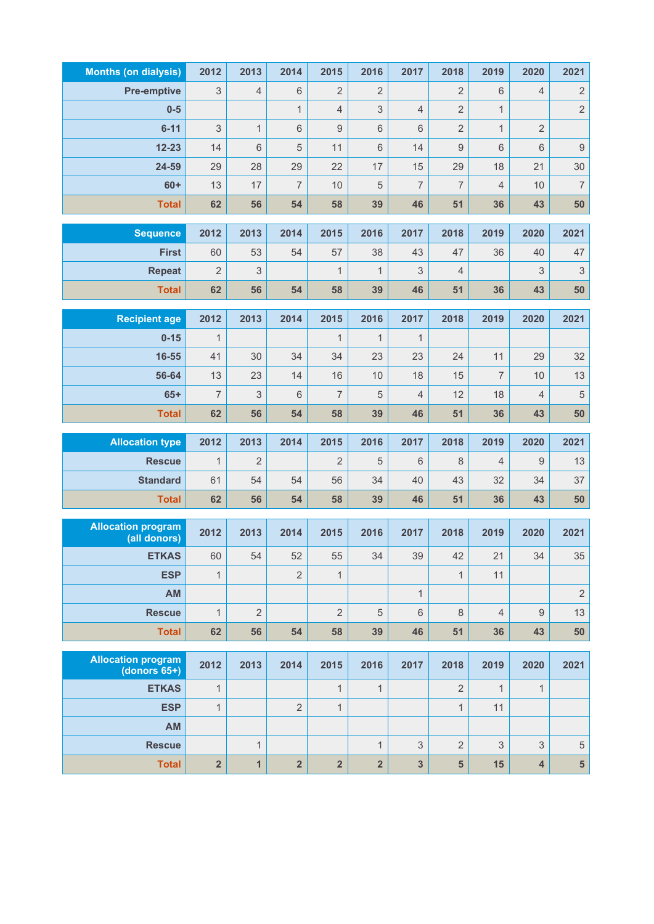| <b>Months (on dialysis)</b>                  | 2012                    | 2013           | 2014                    | 2015                    | 2016                    | 2017           | 2018             | 2019           | 2020                    | 2021                      |
|----------------------------------------------|-------------------------|----------------|-------------------------|-------------------------|-------------------------|----------------|------------------|----------------|-------------------------|---------------------------|
| <b>Pre-emptive</b>                           | 3                       | $\overline{4}$ | 6                       | $\overline{2}$          | $\overline{2}$          |                | $\overline{2}$   | $\,6\,$        | $\overline{4}$          | $\sqrt{2}$                |
| $0-5$                                        |                         |                | $\mathbf{1}$            | $\overline{4}$          | 3                       | $\overline{4}$ | $\overline{2}$   | $\mathbf{1}$   |                         | $\overline{2}$            |
| $6 - 11$                                     | 3                       | $\mathbf{1}$   | 6                       | $\mathsf g$             | $\,6$                   | 6              | $\overline{2}$   | $\mathbf{1}$   | $\overline{2}$          |                           |
| $12 - 23$                                    | 14                      | 6              | 5                       | 11                      | 6                       | 14             | $\boldsymbol{9}$ | $\,6\,$        | 6                       | $\boldsymbol{9}$          |
| 24-59                                        | 29                      | 28             | 29                      | 22                      | 17                      | 15             | 29               | 18             | 21                      | 30                        |
| $60+$                                        | 13                      | 17             | $\overline{7}$          | 10                      | 5                       | $\overline{7}$ | $\overline{7}$   | $\overline{4}$ | 10                      | $\overline{\mathcal{I}}$  |
| <b>Total</b>                                 | 62                      | 56             | 54                      | 58                      | 39                      | 46             | 51               | 36             | 43                      | 50                        |
| <b>Sequence</b>                              | 2012                    | 2013           | 2014                    | 2015                    | 2016                    | 2017           | 2018             | 2019           | 2020                    | 2021                      |
| <b>First</b>                                 | 60                      | 53             | 54                      | 57                      | 38                      | 43             | 47               | 36             | 40                      | 47                        |
| <b>Repeat</b>                                | $\overline{2}$          | 3              |                         | $\mathbf{1}$            | $\mathbf{1}$            | 3              | 4                |                | 3                       | $\ensuremath{\mathsf{3}}$ |
| <b>Total</b>                                 | 62                      | 56             | 54                      | 58                      | 39                      | 46             | 51               | 36             | 43                      | 50                        |
|                                              |                         |                |                         |                         |                         |                |                  |                |                         |                           |
| <b>Recipient age</b>                         | 2012                    | 2013           | 2014                    | 2015                    | 2016                    | 2017           | 2018             | 2019           | 2020                    | 2021                      |
| $0 - 15$                                     | $\mathbf{1}$            |                |                         | $\mathbf{1}$            | $\mathbf{1}$            | $\mathbf{1}$   |                  |                |                         |                           |
| 16-55                                        | 41                      | 30             | 34                      | 34                      | 23                      | 23             | 24               | 11             | 29                      | 32                        |
| 56-64                                        | 13                      | 23             | 14                      | 16                      | 10                      | 18             | 15               | $\overline{7}$ | 10                      | 13                        |
| $65+$                                        | $\overline{7}$          | 3              | 6                       | $\overline{7}$          | 5                       | $\overline{4}$ | 12               | 18             | 4                       | $\sqrt{5}$                |
| <b>Total</b>                                 | 62                      | 56             | 54                      | 58                      | 39                      | 46             | 51               | 36             | 43                      | 50                        |
| <b>Allocation type</b>                       | 2012                    | 2013           | 2014                    | 2015                    | 2016                    | 2017           | 2018             | 2019           | 2020                    | 2021                      |
| <b>Rescue</b>                                | $\mathbf{1}$            | $\overline{2}$ |                         | $\overline{2}$          | 5                       | 6              | 8                | 4              | 9                       | 13                        |
| <b>Standard</b>                              | 61                      | 54             | 54                      | 56                      | 34                      | 40             | 43               | 32             | 34                      | 37                        |
| <b>Total</b>                                 | 62                      | 56             | 54                      | 58                      | 39                      | 46             | 51               | 36             | 43                      | 50                        |
| <b>Allocation program</b>                    |                         |                |                         |                         |                         |                |                  |                |                         |                           |
| (all donors)                                 | 2012                    | 2013           | 2014                    | 2015                    | 2016                    | 2017           | 2018             | 2019           | 2020                    | 2021                      |
| <b>ETKAS</b>                                 | 60                      | 54             | 52                      | 55                      | 34                      | 39             | 42               | 21             | 34                      | 35                        |
| <b>ESP</b>                                   | $\mathbf{1}$            |                | $\overline{2}$          | $\mathbf{1}$            |                         |                | $\mathbf{1}$     | 11             |                         |                           |
| AM                                           |                         |                |                         |                         |                         | $\mathbf{1}$   |                  |                |                         | $\sqrt{2}$                |
| <b>Rescue</b>                                | $\mathbf{1}$            | $\overline{2}$ |                         | $\overline{2}$          | $\sqrt{5}$              | 6              | $\,8\,$          | $\overline{4}$ | 9                       | 13                        |
| <b>Total</b>                                 | 62                      | 56             | 54                      | 58                      | 39                      | 46             | 51               | 36             | 43                      | 50                        |
| <b>Allocation program</b><br>(donors $65+$ ) | 2012                    | 2013           | 2014                    | 2015                    | 2016                    | 2017           | 2018             | 2019           | 2020                    | 2021                      |
| <b>ETKAS</b>                                 | $\mathbf{1}$            |                |                         | $\mathbf{1}$            | $\mathbf{1}$            |                | $\overline{2}$   | 1              | $\mathbf{1}$            |                           |
| <b>ESP</b>                                   | $\mathbf{1}$            |                | $\overline{2}$          | $\mathbf{1}$            |                         |                | $\mathbf{1}$     | 11             |                         |                           |
| AM                                           |                         |                |                         |                         |                         |                |                  |                |                         |                           |
| <b>Rescue</b>                                |                         | $\mathbf{1}$   |                         |                         | $\mathbf{1}$            | 3              | $\sqrt{2}$       | 3              | 3                       | 5                         |
| <b>Total</b>                                 | $\overline{\mathbf{2}}$ | $\mathbf{1}$   | $\overline{\mathbf{2}}$ | $\overline{\mathbf{2}}$ | $\overline{\mathbf{2}}$ | 3              | 5                | 15             | $\overline{\mathbf{4}}$ | $5\phantom{a}$            |